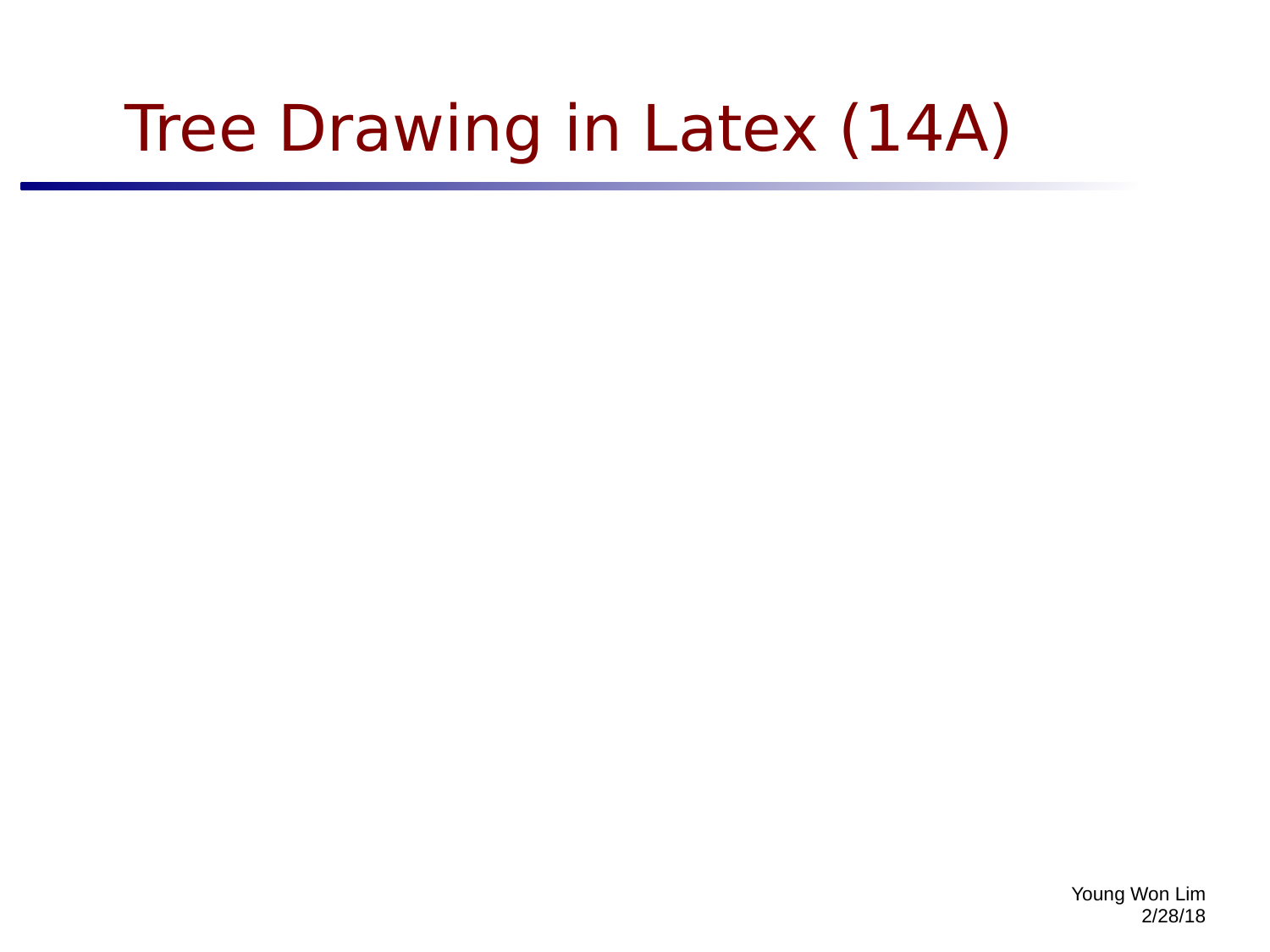# Tree Drawing in Latex (14A)

Young Won Lim 2/28/18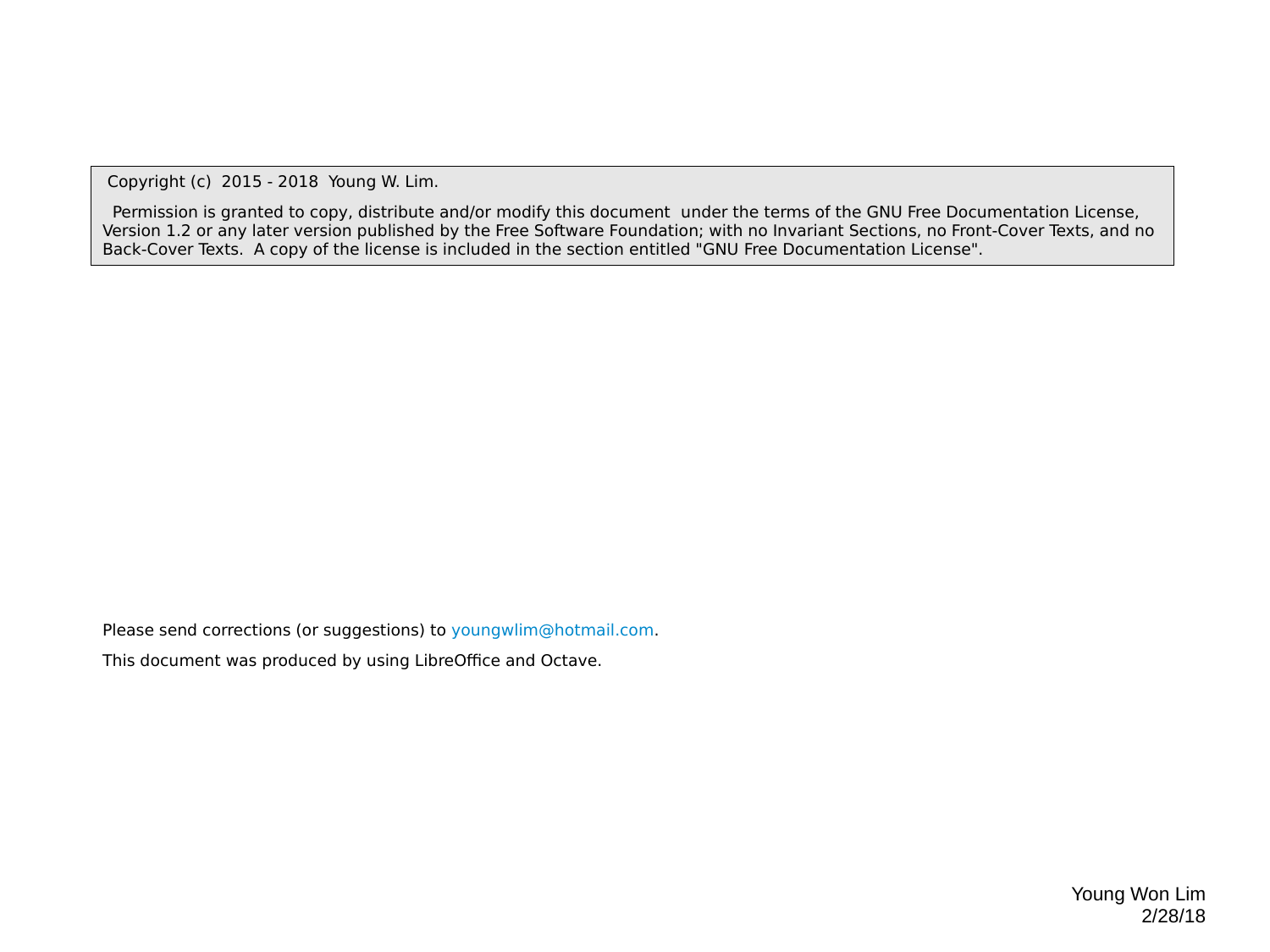Copyright (c) 2015 - 2018 Young W. Lim.

 Permission is granted to copy, distribute and/or modify this document under the terms of the GNU Free Documentation License, Version 1.2 or any later version published by the Free Software Foundation; with no Invariant Sections, no Front-Cover Texts, and no Back-Cover Texts. A copy of the license is included in the section entitled "GNU Free Documentation License".

Please send corrections (or suggestions) to [youngwlim@hotmail.com](mailto:youngwlim@hotmail.com).

This document was produced by using LibreOffice and Octave.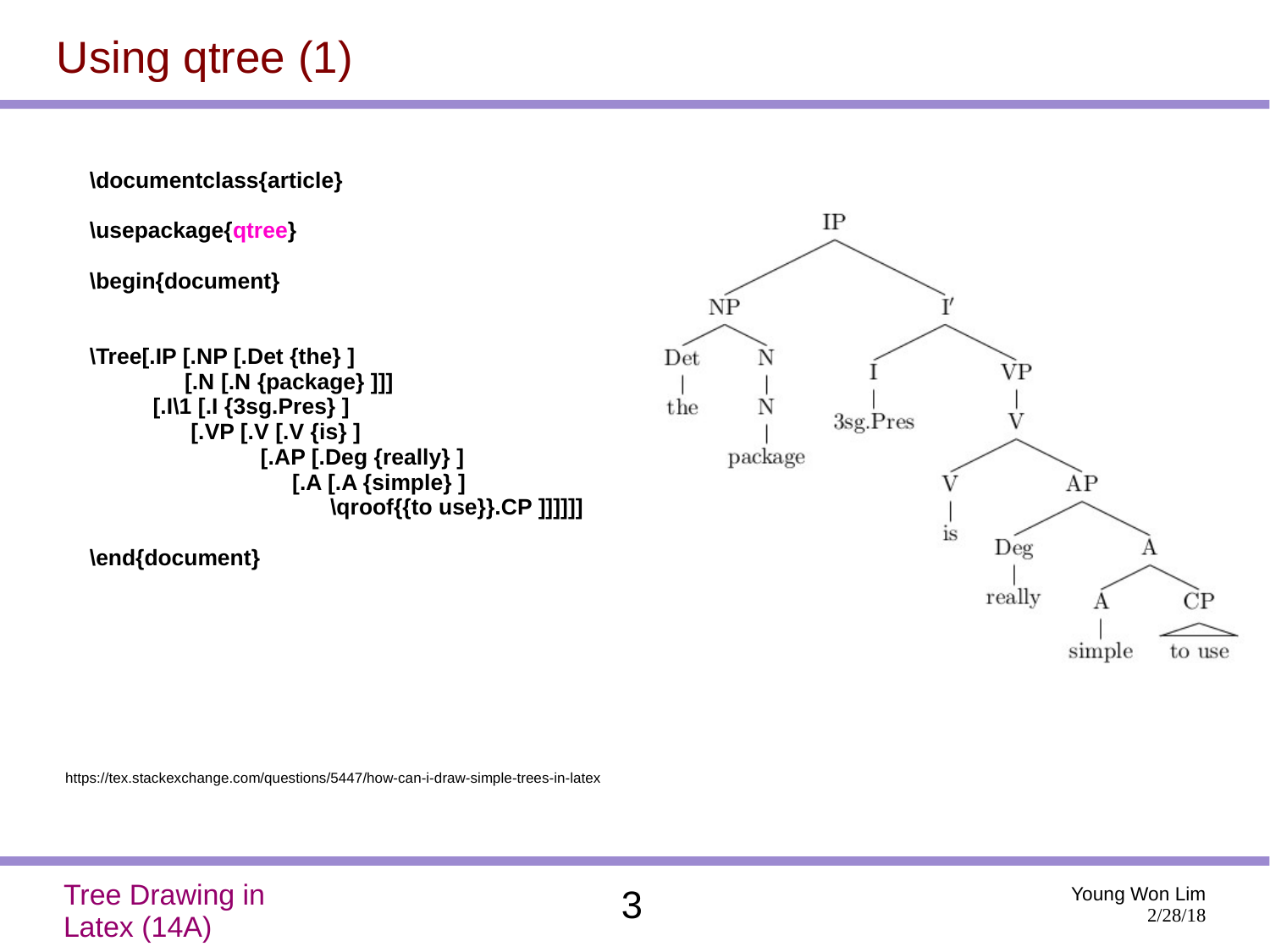# Using qtree (1)

**\documentclass{article}**

**\usepackage{qtree}**

**\begin{document}**

**\Tree[.IP [.NP [.Det {the} ] [.N [.N {package} ]]] [.I\1 [.I {3sg.Pres} ] [.VP [.V [.V {is} ] [.AP [.Deg {really} ] [.A [.A {simple} ] \qroof{{to use}}.CP ]]]]]]**

**\end{document}**

https://tex.stackexchange.com/questions/5447/how-can-i-draw-simple-trees-in-latex



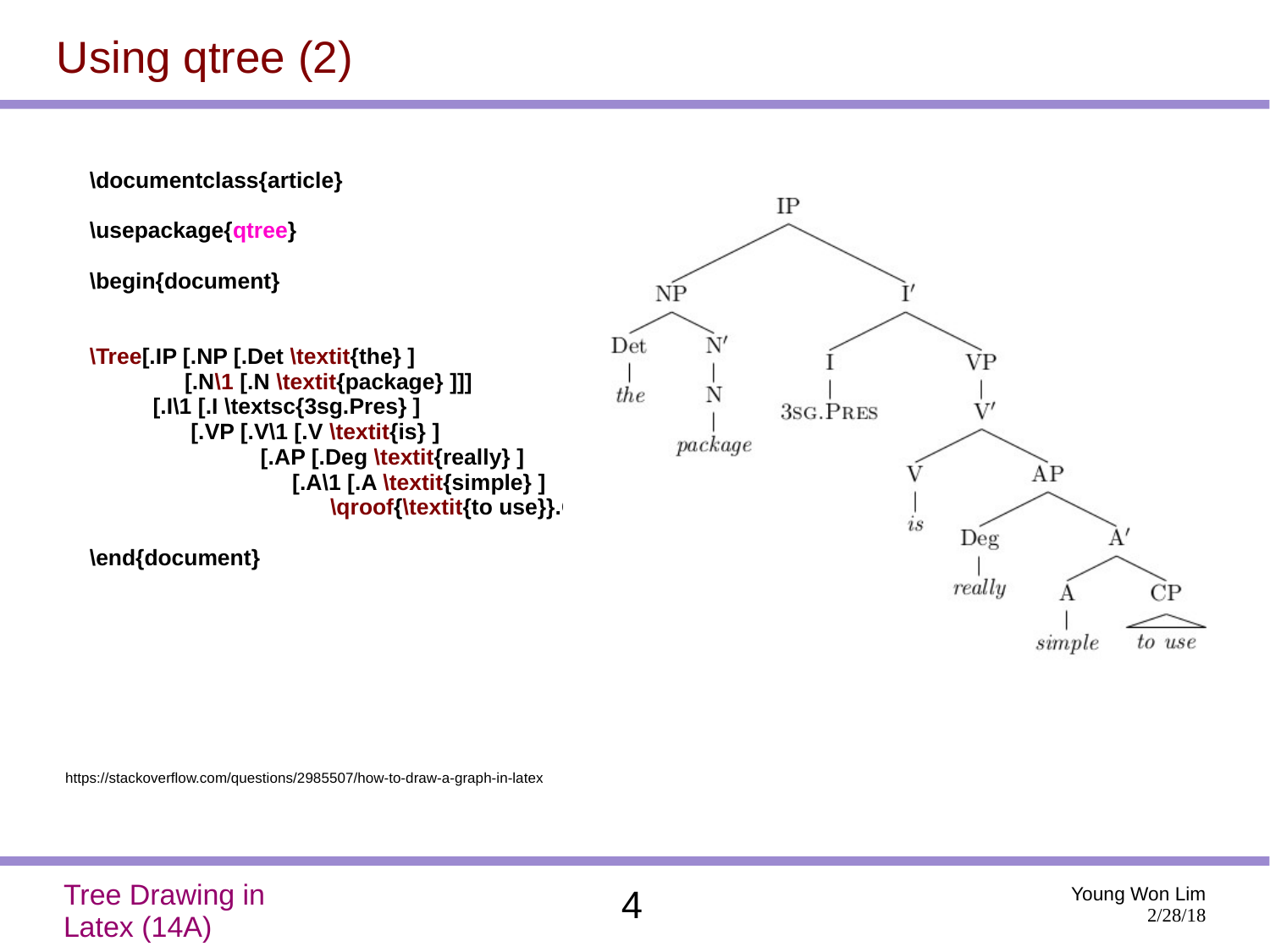# Using qtree (2)



simple to use

https://stackoverflow.com/questions/2985507/how-to-draw-a-graph-in-latex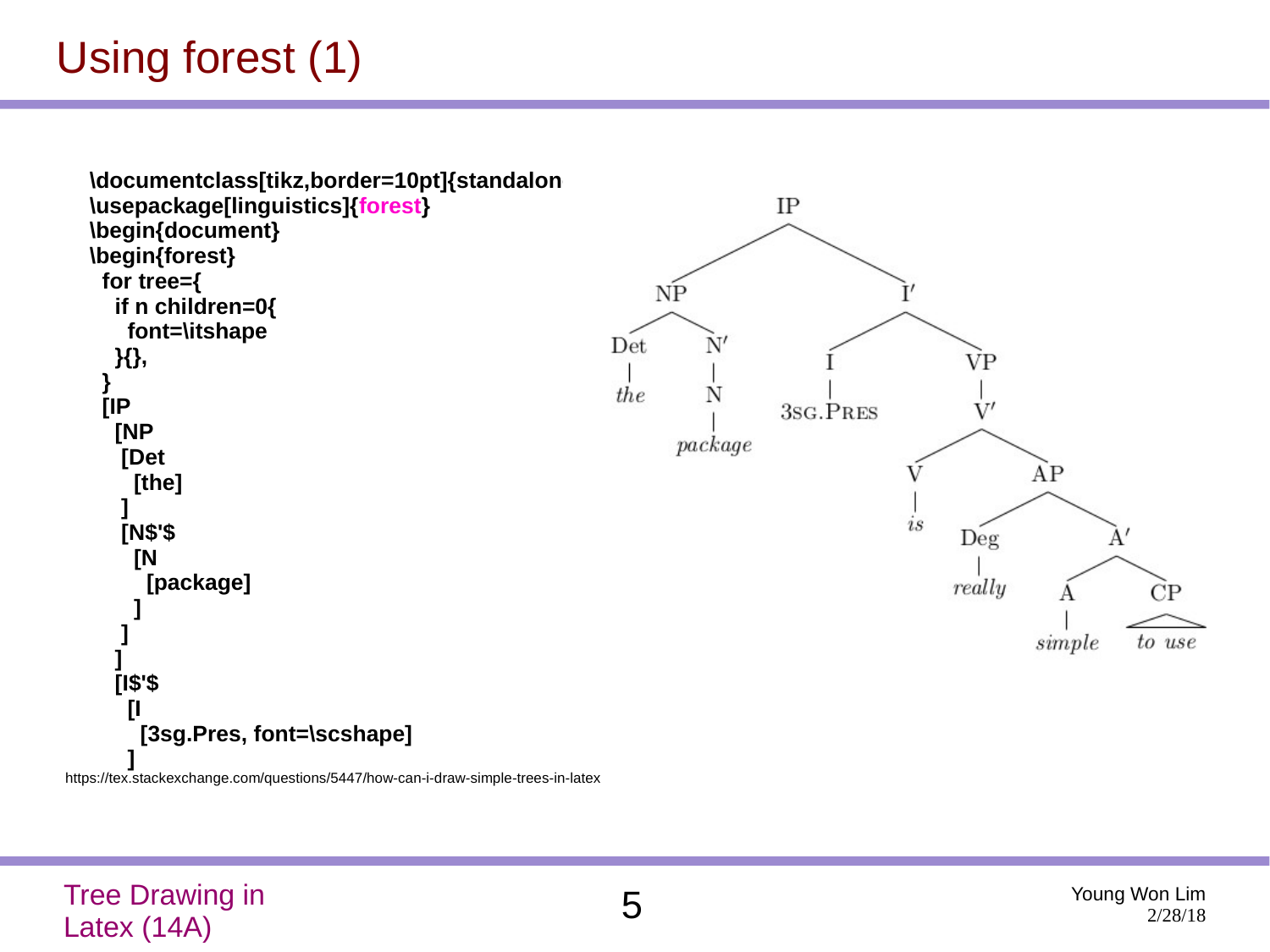### Using forest (1)



 https://tex.stackexchange.com/questions/5447/how-can-i-draw-simple-trees-in-latex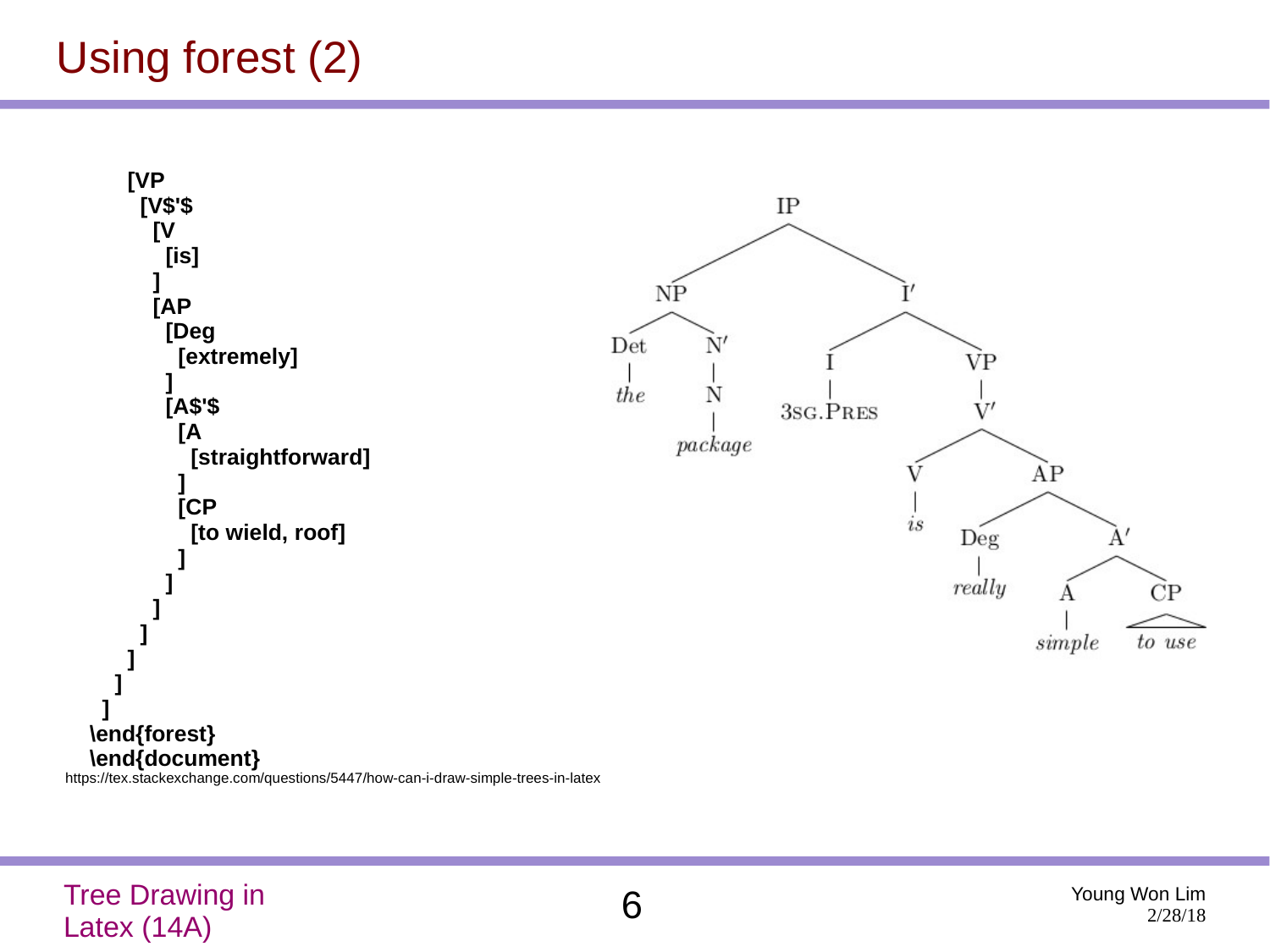# Using forest (2)



https://tex.stackexchange.com/questions/5447/how-can-i-draw-simple-trees-in-latex

Tree Drawing in Latex (14A)

6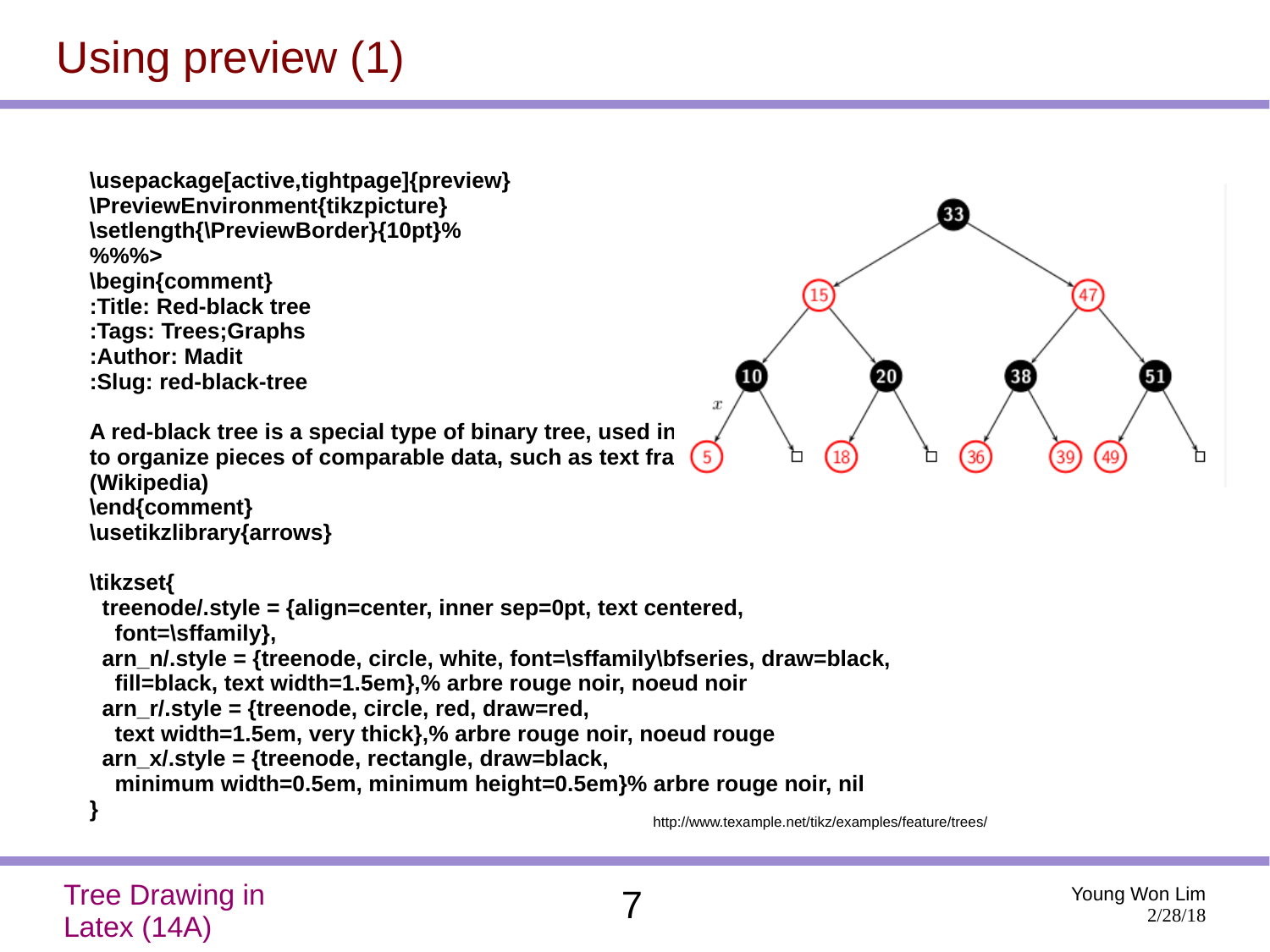## Using preview (1)

```
\usepackage[active,tightpage]{preview}
\PreviewEnvironment{tikzpicture}
\setlength{\PreviewBorder}{10pt}%
%%%>
\begin{comment}
:Title: Red-black tree
:Tags: Trees;Graphs
:Author: Madit
:Slug: red-black-tree
A red-black tree is a special type of binary tree, used in
(Wikipedia)
\end{comment}
\usetikzlibrary{arrows}
\tikzset{
```


to organize pieces of comparable data, such as text fra

```
 treenode/.style = {align=center, inner sep=0pt, text centered,
   font=\sffamily},
  arn_n/.style = {treenode, circle, white, font=\sffamily\bfseries, draw=black,
   fill=black, text width=1.5em},% arbre rouge noir, noeud noir
  arn_r/.style = {treenode, circle, red, draw=red, 
   text width=1.5em, very thick},% arbre rouge noir, noeud rouge
  arn_x/.style = {treenode, rectangle, draw=black,
   minimum width=0.5em, minimum height=0.5em}% arbre rouge noir, nil
}
                                                        http://www.texample.net/tikz/examples/feature/trees/
```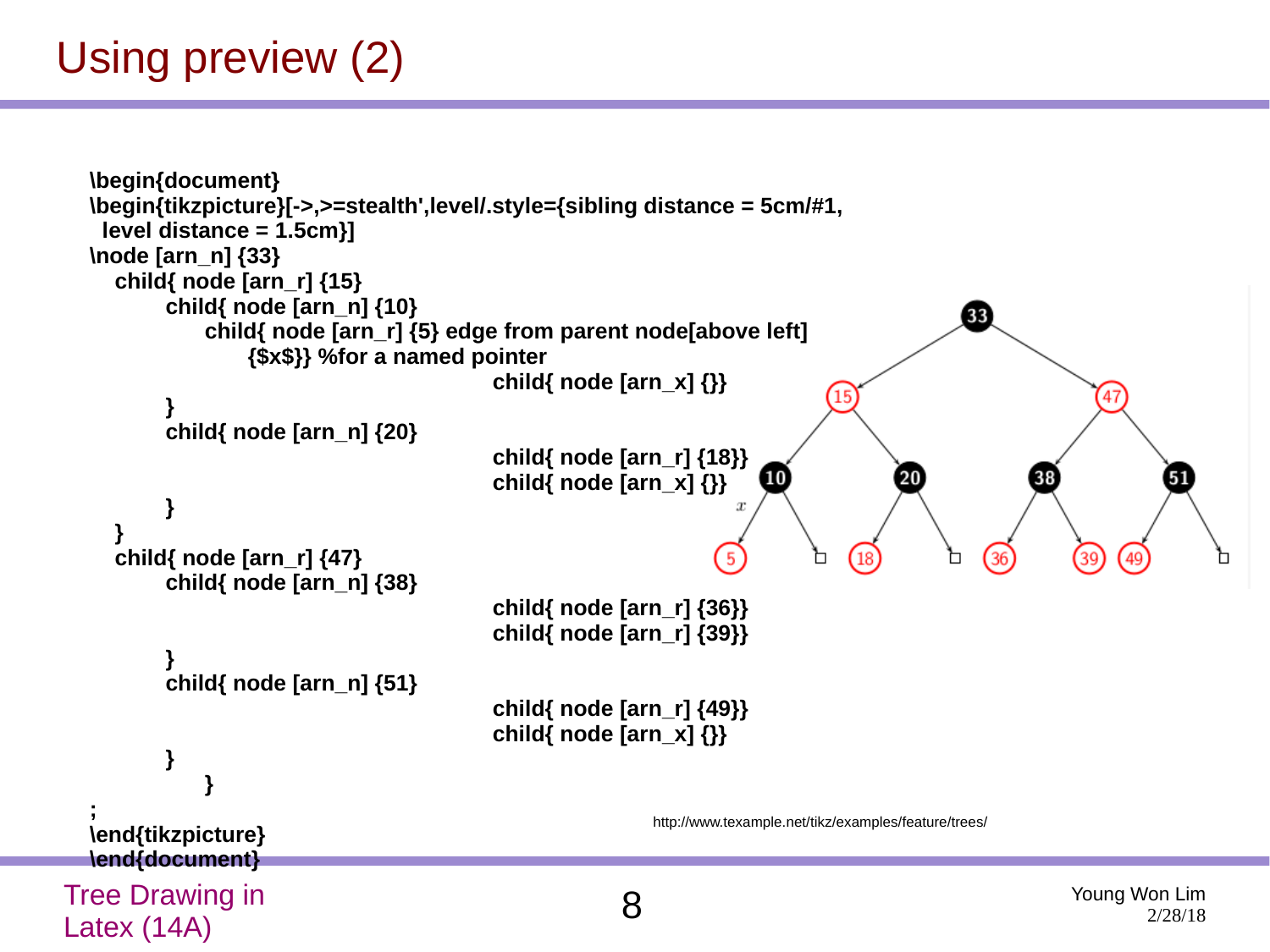### Using preview (2)

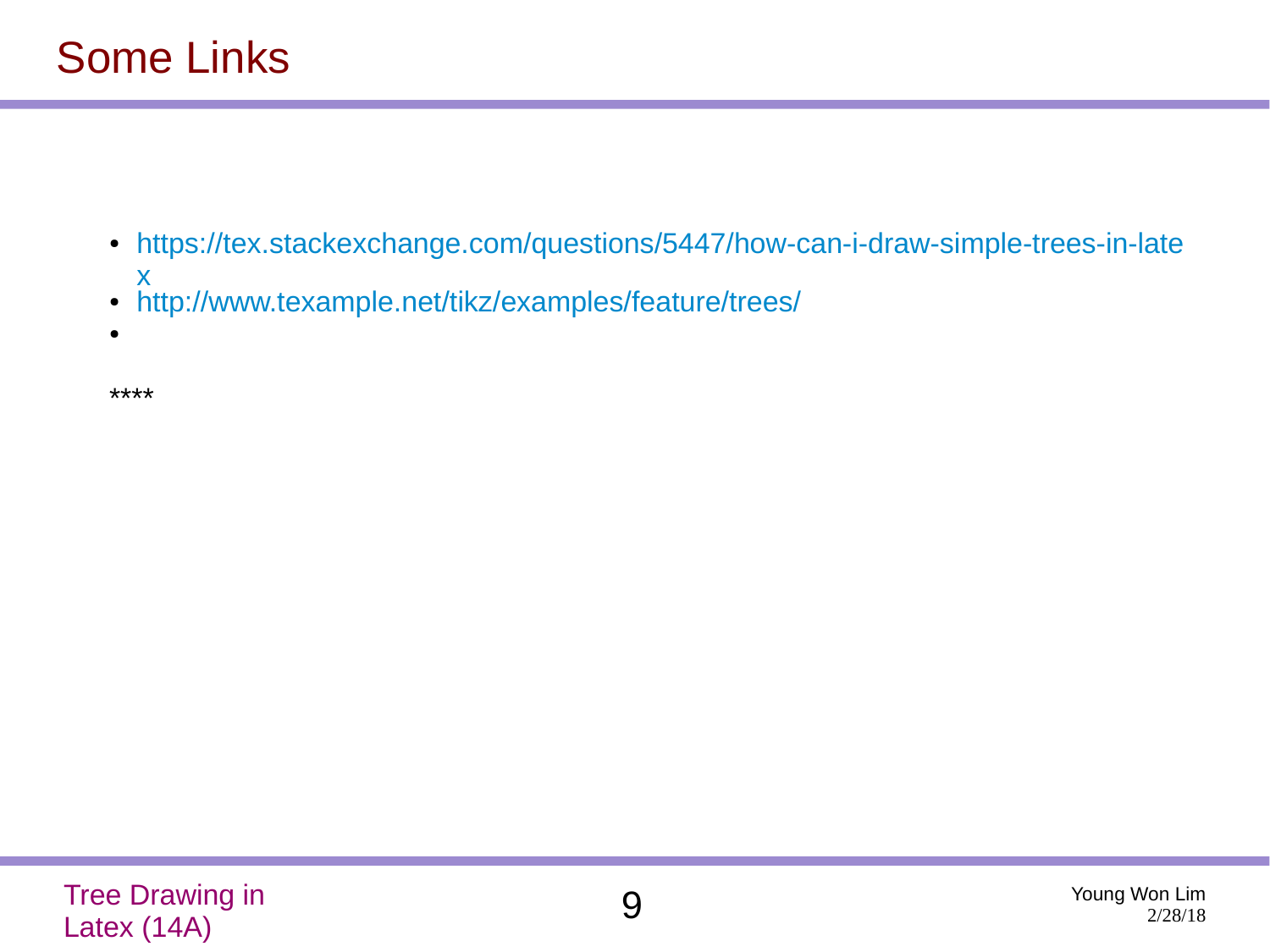- [https://tex.stackexchange.com/questions/5447/how-can-i-draw-simple-trees-in-late](https://tex.stackexchange.com/questions/5447/how-can-i-draw-simple-trees-in-latex) [x](https://tex.stackexchange.com/questions/5447/how-can-i-draw-simple-trees-in-latex)
- <http://www.texample.net/tikz/examples/feature/trees/>
- ●

\*\*\*\*